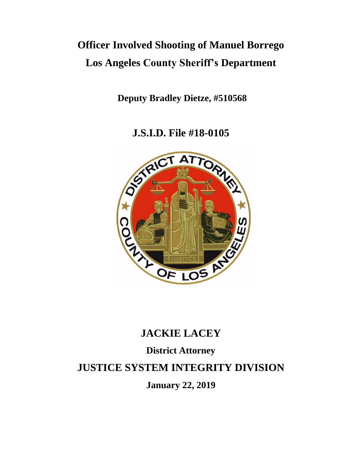# **Officer Involved Shooting of Manuel Borrego Los Angeles County Sheriff's Department**

**Deputy Bradley Dietze, #510568**

**J.S.I.D. File #18-0105**



# **JACKIE LACEY**

# **District Attorney**

# **JUSTICE SYSTEM INTEGRITY DIVISION**

**January 22, 2019**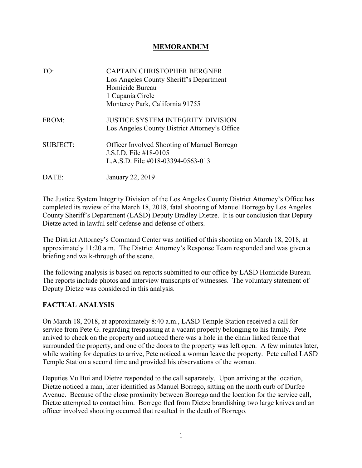#### **MEMORANDUM**

| TO:             | <b>CAPTAIN CHRISTOPHER BERGNER</b><br>Los Angeles County Sheriff's Department<br>Homicide Bureau<br>1 Cupania Circle<br>Monterey Park, California 91755 |
|-----------------|---------------------------------------------------------------------------------------------------------------------------------------------------------|
| FROM:           | <b>JUSTICE SYSTEM INTEGRITY DIVISION</b><br>Los Angeles County District Attorney's Office                                                               |
| <b>SUBJECT:</b> | <b>Officer Involved Shooting of Manuel Borrego</b><br>J.S.I.D. File $\#18-0105$<br>L.A.S.D. File $\#018 - 03394 - 0563 - 013$                           |
| DATE:           | January 22, 2019                                                                                                                                        |

The Justice System Integrity Division of the Los Angeles County District Attorney's Office has completed its review of the March 18, 2018, fatal shooting of Manuel Borrego by Los Angeles County Sheriff's Department (LASD) Deputy Bradley Dietze. It is our conclusion that Deputy Dietze acted in lawful self-defense and defense of others.

The District Attorney's Command Center was notified of this shooting on March 18, 2018, at approximately 11:20 a.m. The District Attorney's Response Team responded and was given a briefing and walk-through of the scene.

The following analysis is based on reports submitted to our office by LASD Homicide Bureau. The reports include photos and interview transcripts of witnesses. The voluntary statement of Deputy Dietze was considered in this analysis.

## **FACTUAL ANALYSIS**

On March 18, 2018, at approximately 8:40 a.m., LASD Temple Station received a call for service from Pete G. regarding trespassing at a vacant property belonging to his family. Pete arrived to check on the property and noticed there was a hole in the chain linked fence that surrounded the property, and one of the doors to the property was left open. A few minutes later, while waiting for deputies to arrive, Pete noticed a woman leave the property. Pete called LASD Temple Station a second time and provided his observations of the woman.

Deputies Vu Bui and Dietze responded to the call separately. Upon arriving at the location, Dietze noticed a man, later identified as Manuel Borrego, sitting on the north curb of Durfee Avenue. Because of the close proximity between Borrego and the location for the service call, Dietze attempted to contact him. Borrego fled from Dietze brandishing two large knives and an officer involved shooting occurred that resulted in the death of Borrego.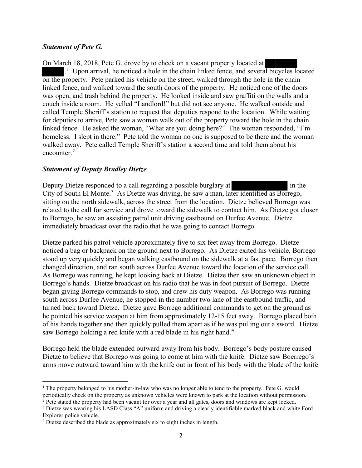#### *Statement of Pete G.*

On March 18, 2018, Pete G. drove by to check on a vacant property located at <sup>[1](#page-2-0)</sup> Upon arrival, he noticed a hole in the chain linked fence, and several bicycles located on the property. Pete parked his vehicle on the street, walked through the hole in the chain linked fence, and walked toward the south doors of the property. He noticed one of the doors was open, and trash behind the property. He looked inside and saw graffiti on the walls and a couch inside a room. He yelled "Landlord!" but did not see anyone. He walked outside and called Temple Sheriff's station to request that deputies respond to the location. While waiting for deputies to arrive, Pete saw a woman walk out of the property toward the hole in the chain linked fence. He asked the woman, "What are you doing here?" The woman responded, "I'm homeless. I slept in there." Pete told the woman no one is supposed to be there and the woman walked away. Pete called Temple Sheriff's station a second time and told them about his encounter.<sup>[2](#page-2-1)</sup>

#### *Statement of Deputy Bradley Dietze*

l

Deputy Dietze responded to a call regarding a possible burglary at in the City of South El Monte.<sup>[3](#page-2-2)</sup> As Dietze was driving, he saw a man, later identified as Borrego, sitting on the north sidewalk, across the street from the location. Dietze believed Borrego was related to the call for service and drove toward the sidewalk to contact him. As Dietze got closer to Borrego, he saw an assisting patrol unit driving eastbound on Durfee Avenue. Dietze immediately broadcast over the radio that he was going to contact Borrego.

Dietze parked his patrol vehicle approximately five to six feet away from Borrego. Dietze noticed a bag or backpack on the ground next to Borrego. As Dietze exited his vehicle, Borrego stood up very quickly and began walking eastbound on the sidewalk at a fast pace. Borrego then changed direction, and ran south across Durfee Avenue toward the location of the service call. As Borrego was running, he kept looking back at Dietze. Dietze then saw an unknown object in Borrego's hands. Dietze broadcast on his radio that he was in foot pursuit of Borrego. Dietze began giving Borrego commands to stop, and drew his duty weapon. As Borrego was running south across Durfee Avenue, he stopped in the number two lane of the eastbound traffic, and turned back toward Dietze. Dietze gave Borrego additional commands to get on the ground as he pointed his service weapon at him from approximately 12-15 feet away. Borrego placed both of his hands together and then quickly pulled them apart as if he was pulling out a sword. Dietze saw Borrego holding a red knife with a red blade in his right hand.<sup>[4](#page-2-3)</sup>

Borrego held the blade extended outward away from his body. Borrego's body posture caused Dietze to believe that Borrego was going to come at him with the knife. Dietze saw Boerrego's arms move outward toward him with the knife out in front of his body with the blade of the knife

<span id="page-2-0"></span><sup>&</sup>lt;sup>1</sup> The property belonged to his mother-in-law who was no longer able to tend to the property. Pete G. would

<span id="page-2-1"></span>periodically check on the property as unknown vehicles were known to park at the location without permission.<br><sup>2</sup> Pete stated the property had been vacant for over a year and all gates, doors and windows are kept locked.

<span id="page-2-2"></span><sup>&</sup>lt;sup>3</sup> Dietze was wearing his LASD Class "A" uniform and driving a clearly identifiable marked black and white Ford Explorer police vehicle.

<span id="page-2-3"></span><sup>4</sup> Dietze described the blade as approximately six to eight inches in length.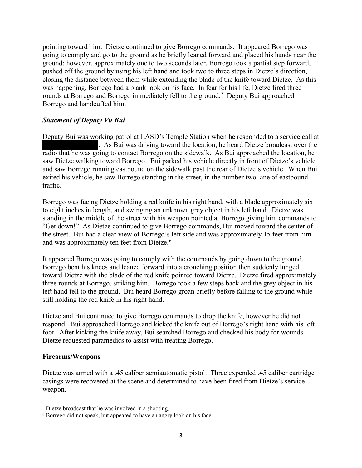pointing toward him. Dietze continued to give Borrego commands. It appeared Borrego was going to comply and go to the ground as he briefly leaned forward and placed his hands near the ground; however, approximately one to two seconds later, Borrego took a partial step forward, pushed off the ground by using his left hand and took two to three steps in Dietze's direction, closing the distance between them while extending the blade of the knife toward Dietze. As this was happening, Borrego had a blank look on his face. In fear for his life, Dietze fired three rounds at Borrego and Borrego immediately fell to the ground.<sup>[5](#page-3-0)</sup> Deputy Bui approached Borrego and handcuffed him.

#### *Statement of Deputy Vu Bui*

Deputy Bui was working patrol at LASD's Temple Station when he responded to a service call at . As Bui was driving toward the location, he heard Dietze broadcast over the radio that he was going to contact Borrego on the sidewalk. As Bui approached the location, he saw Dietze walking toward Borrego. Bui parked his vehicle directly in front of Dietze's vehicle and saw Borrego running eastbound on the sidewalk past the rear of Dietze's vehicle. When Bui exited his vehicle, he saw Borrego standing in the street, in the number two lane of eastbound traffic.

Borrego was facing Dietze holding a red knife in his right hand, with a blade approximately six to eight inches in length, and swinging an unknown grey object in his left hand. Dietze was standing in the middle of the street with his weapon pointed at Borrego giving him commands to "Get down!" As Dietze continued to give Borrego commands, Bui moved toward the center of the street. Bui had a clear view of Borrego's left side and was approximately 15 feet from him and was approximately ten feet from Dietze.<sup>[6](#page-3-1)</sup>

It appeared Borrego was going to comply with the commands by going down to the ground. Borrego bent his knees and leaned forward into a crouching position then suddenly lunged toward Dietze with the blade of the red knife pointed toward Dietze. Dietze fired approximately three rounds at Borrego, striking him. Borrego took a few steps back and the grey object in his left hand fell to the ground. Bui heard Borrego groan briefly before falling to the ground while still holding the red knife in his right hand.

Dietze and Bui continued to give Borrego commands to drop the knife, however he did not respond. Bui approached Borrego and kicked the knife out of Borrego's right hand with his left foot. After kicking the knife away, Bui searched Borrego and checked his body for wounds. Dietze requested paramedics to assist with treating Borrego.

#### **Firearms/Weapons**

l

Dietze was armed with a .45 caliber semiautomatic pistol. Three expended .45 caliber cartridge casings were recovered at the scene and determined to have been fired from Dietze's service weapon.

<span id="page-3-0"></span><sup>5</sup> Dietze broadcast that he was involved in a shooting.

<span id="page-3-1"></span><sup>6</sup> Borrego did not speak, but appeared to have an angry look on his face.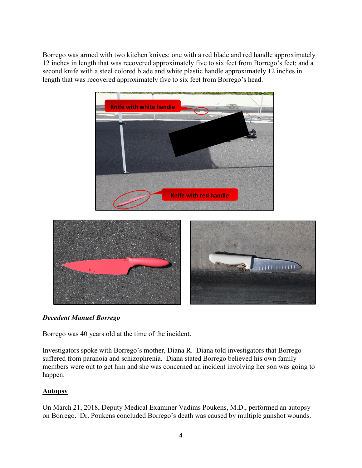Borrego was armed with two kitchen knives: one with a red blade and red handle approximately 12 inches in length that was recovered approximately five to six feet from Borrego's feet; and a second knife with a steel colored blade and white plastic handle approximately 12 inches in length that was recovered approximately five to six feet from Borrego's head.





## *Decedent Manuel Borrego*

Borrego was 40 years old at the time of the incident.

Investigators spoke with Borrego's mother, Diana R. Diana told investigators that Borrego suffered from paranoia and schizophrenia. Diana stated Borrego believed his own family members were out to get him and she was concerned an incident involving her son was going to happen.

## **Autopsy**

On March 21, 2018, Deputy Medical Examiner Vadims Poukens, M.D., performed an autopsy on Borrego. Dr. Poukens concluded Borrego's death was caused by multiple gunshot wounds.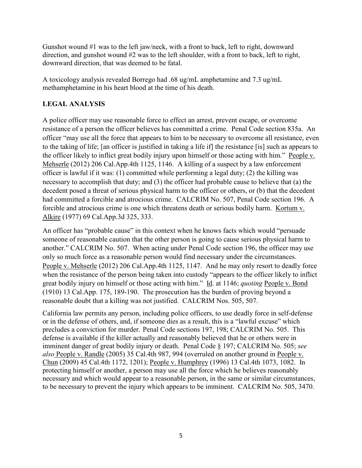Gunshot wound #1 was to the left jaw/neck, with a front to back, left to right, downward direction, and gunshot wound #2 was to the left shoulder, with a front to back, left to right, downward direction, that was deemed to be fatal.

A toxicology analysis revealed Borrego had .68 ug/mL amphetamine and 7.3 ug/mL methamphetamine in his heart blood at the time of his death.

# **LEGAL ANALYSIS**

A police officer may use reasonable force to effect an arrest, prevent escape, or overcome resistance of a person the officer believes has committed a crime. Penal Code section 835a. An officer "may use all the force that appears to him to be necessary to overcome all resistance, even to the taking of life; [an officer is justified in taking a life if] the resistance [is] such as appears to the officer likely to inflict great bodily injury upon himself or those acting with him." People v. Mehserle (2012) 206 Cal.App.4th 1125, 1146. A killing of a suspect by a law enforcement officer is lawful if it was: (1) committed while performing a legal duty; (2) the killing was necessary to accomplish that duty; and (3) the officer had probable cause to believe that (a) the decedent posed a threat of serious physical harm to the officer or others, or (b) that the decedent had committed a forcible and atrocious crime. CALCRIM No. 507, Penal Code section 196. A forcible and atrocious crime is one which threatens death or serious bodily harm. Kortum v. Alkire (1977) 69 Cal.App.3d 325, 333.

An officer has "probable cause" in this context when he knows facts which would "persuade someone of reasonable caution that the other person is going to cause serious physical harm to another." CALCRIM No. 507. When acting under Penal Code section 196, the officer may use only so much force as a reasonable person would find necessary under the circumstances. People v. Mehserle (2012) 206 Cal.App.4th 1125, 1147. And he may only resort to deadly force when the resistance of the person being taken into custody "appears to the officer likely to inflict great bodily injury on himself or those acting with him." Id. at 1146; *quoting* People v. Bond (1910) 13 Cal.App. 175, 189-190. The prosecution has the burden of proving beyond a reasonable doubt that a killing was not justified. CALCRIM Nos. 505, 507.

California law permits any person, including police officers, to use deadly force in self-defense or in the defense of others, and, if someone dies as a result, this is a "lawful excuse" which precludes a conviction for murder. Penal Code sections 197, 198; CALCRIM No. 505. This defense is available if the killer actually and reasonably believed that he or others were in imminent danger of great bodily injury or death. Penal Code § 197; CALCRIM No. 505; *see also* People v. Randle (2005) 35 Cal.4th 987, 994 (overruled on another ground in People v. Chun (2009) 45 Cal.4th 1172, 1201); People v. Humphrey (1996) 13 Cal.4th 1073, 1082. In protecting himself or another, a person may use all the force which he believes reasonably necessary and which would appear to a reasonable person, in the same or similar circumstances, to be necessary to prevent the injury which appears to be imminent. CALCRIM No. 505, 3470.